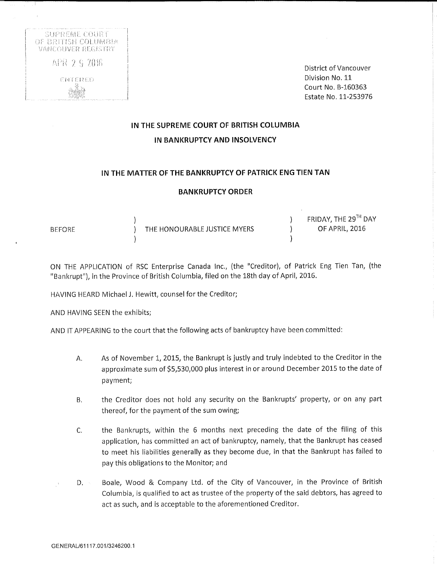

District of Vancouver Division No. 11 Court No, B-160363 Estate No. 11-253976

## IN THE SUPREME COURT OF BRITISH COLUMBIA IN BANKRUPTCY AND INSOLVENCY

### IN THE MATTER OF THE BANKRUPTCY OF PATRICK ENG TIEN TAN

#### BANKRUPTCY ORDER

|               |                              | FRIDAY, THE 29TH DAY |
|---------------|------------------------------|----------------------|
| <b>BEFORE</b> | THE HONOURABLE JUSTICE MYERS | OF APRIL, 2016       |
|               |                              |                      |

ON THE APPLICATION of RSC Enterprise Canada Inc., (the "Creditor), of Patrick Eng Tien Tan, (the "Bankrupt"), in the Province of British Columbia, filed on the 18th day of April, 2016,

HAVING HEARD Michael J. Hewitt, counsel for the Creditor;

AND HAVING SEEN the exhibits;

AND IT APPEARING to the court that the following acts of bankruptcy have been committed:

- A, As of November 1, 2015, the Bankrupt is justly and truly indebted to the Creditor in the approximate sum of \$5,530,000 plus interest in or around December 2015 to the date of payment;
- B, the Creditor does not hold any security on the Bankrupts' property, or on any part thereof, for the payment of the sum owing;
- C. the Bankrupts, within the 6 months next preceding the date of the filing of this application, has committed an act of bankruptcy, namely, that the Bankrupt has ceased to meet his liabilities generally as they become due, in that the Bankrupt has failed to pay this obligations to the Monitor; and
- D. Boale, Wood & Company Ltd. of the City of Vancouver, in the Province of British Columbia, is qualified to act as trustee of the property of the said debtors, has agreed to act as such, and is acceptable to the aforementioned Creditor.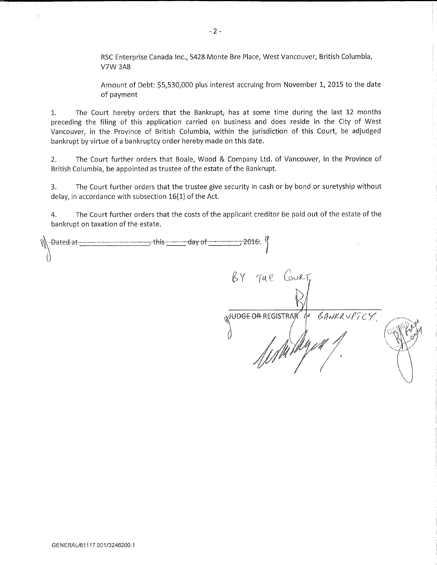RSC Enterprise Canada Inc., 5428 Monte Bre Place, West Vancouver, British Columbia, V7W 3A8

Amount of Debt: \$5,530,000 plus interest accruing from November 1, 2015 to the date of payment

1. The Court hereby orders that the Bankrupt, has at some time during the last 12 months preceding the filing of this application carried on business and does reside in the City of West Vancouver, in the Province of British Columbia, within the jurisdiction of this Court, be adjudged bankrupt by virtue of a bankruptcy order hereby made on this date.

2. The Court further orders that Boale, Wood & Company Ltd. of Vancouver, in the Province of British Columbia, be appointed as trustee of the estate of the Bankrupt.

3. The Court further orders that the trustee give security in cash or by bond or suretyship without delay, in accordance with subsection 16(1) of the Act.

4. The Court further orders that the costs of the applicant creditor be paid out of the estate of the bankrupt on taxation of the estate.

| R -Dated at- | $-2016$                                          |            |
|--------------|--------------------------------------------------|------------|
|              | BY THE COURT,                                    |            |
|              |                                                  |            |
|              | <sub>n</sub> JUDGE-OR REGISTRAR<br>$\mathcal{U}$ | BANKRUPTCY |
|              |                                                  |            |
|              | Whithyea.                                        |            |
|              |                                                  |            |